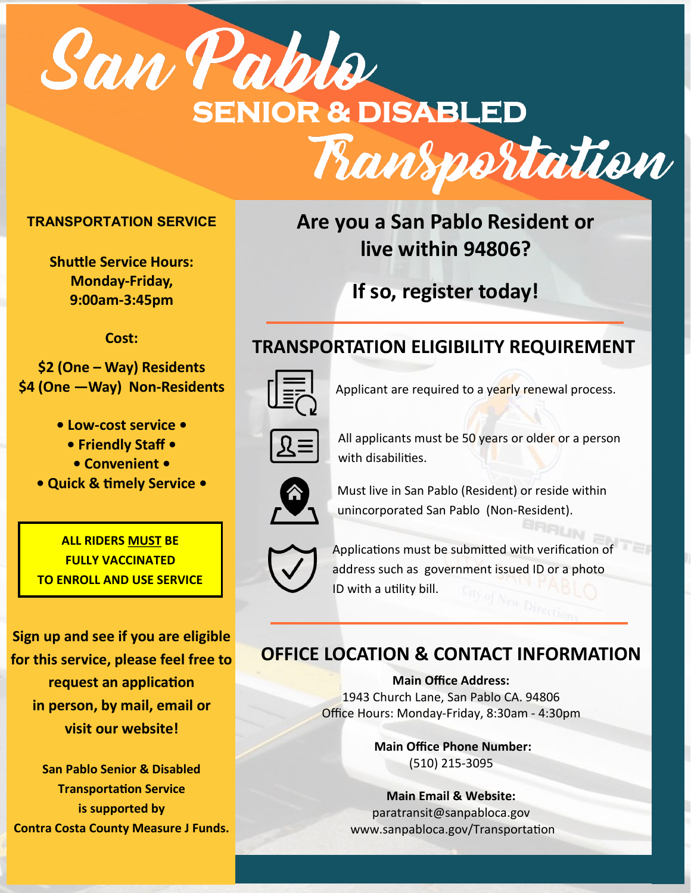

#### **TRANSPORTATION SERVICE**

**Shuttle Service Hours: Monday-Friday, 9:00am-3:45pm**

**Cost:** 

**\$2 (One – Way) Residents \$4 (One —Way) Non-Residents**

**• Low-cost service •** 

**• Friendly Staff •** 

**• Convenient •** 

**• Quick & timely Service •** 

**ALL RIDERS MUST BE FULLY VACCINATED TO ENROLL AND USE SERVICE**

**Sign up and see if you are eligible for this service, please feel free to request an application in person, by mail, email or visit our website!** 

**San Pablo Senior & Disabled Transportation Service is supported by Contra Costa County Measure J Funds.** 

# **Are you a San Pablo Resident or live within 94806?**

**If so, register today!**

### **TRANSPORTATION ELIGIBILITY REQUIREMENT**



Applicant are required to a yearly renewal process.



All applicants must be 50 years or older or a person with disabilities.



Must live in San Pablo (Resident) or reside within unincorporated San Pablo (Non-Resident).



Applications must be submitted with verification of address such as government issued ID or a photo ID with a utility bill.

## **OFFICE LOCATION & CONTACT INFORMATION**

**Main Office Address:**  1943 Church Lane, San Pablo CA. 94806 Office Hours: Monday-Friday, 8:30am - 4:30pm

> **Main Office Phone Number:**  (510) 215-3095

**Main Email & Website:**  paratransit@sanpabloca.gov www.sanpabloca.gov/Transportation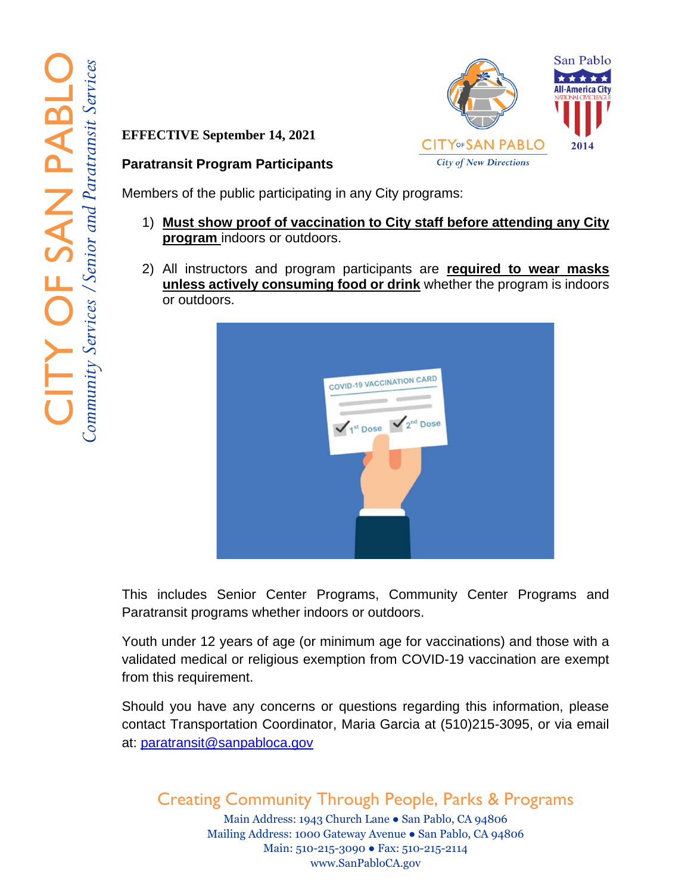**EFFECTIVE September 14, 2021**



#### **Paratransit Program Participants**

Members of the public participating in any City programs:

- 1) **Must show proof of vaccination to City staff before attending any City program** indoors or outdoors.
- 2) All instructors and program participants are **required to wear masks unless actively consuming food or drink** whether the program is indoors or outdoors.



This includes Senior Center Programs, Community Center Programs and Paratransit programs whether indoors or outdoors.

Youth under 12 years of age (or minimum age for vaccinations) and those with a validated medical or religious exemption from COVID -19 vaccination are exempt from this requirement.

Should you have any concerns or questions regarding this information, please contact Transportation Coordinator, Maria Garcia at (510)215 -3095, or via email at: [paratransit@sanpabloca.gov](mailto:paratransit@sanpabloca.gov) 

Creating Community Through People, Parks & Programs

Main Address: 1943 Church Lane ● San Pablo, CA 94806 Mailing Address: 1000 Gateway Avenue ● San Pablo, CA 94806 Main: 510-215-3090 • Fax: 510-215-2114 www.SanPabloCA.gov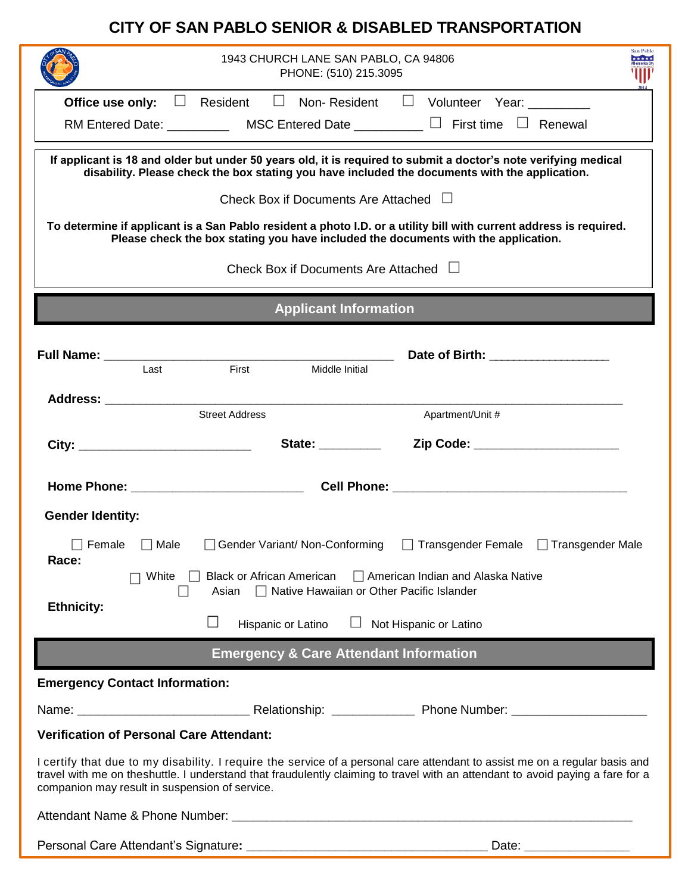#### **CITY OF SAN PABLO SENIOR & DISABLED TRANSPORTATION**

| San Pablo<br>1943 CHURCH LANE SAN PABLO, CA 94806<br>*****<br>PHONE: (510) 215.3095                                                                                                                                                                                                                             |                                                                                                                                               |                                                   |                              |  |                                                                                                                                                                                                                   |  |
|-----------------------------------------------------------------------------------------------------------------------------------------------------------------------------------------------------------------------------------------------------------------------------------------------------------------|-----------------------------------------------------------------------------------------------------------------------------------------------|---------------------------------------------------|------------------------------|--|-------------------------------------------------------------------------------------------------------------------------------------------------------------------------------------------------------------------|--|
|                                                                                                                                                                                                                                                                                                                 |                                                                                                                                               |                                                   |                              |  | <b>Office use only:</b> $\Box$ Resident $\Box$ Non-Resident $\Box$ Volunteer Year: _________                                                                                                                      |  |
|                                                                                                                                                                                                                                                                                                                 |                                                                                                                                               |                                                   |                              |  |                                                                                                                                                                                                                   |  |
|                                                                                                                                                                                                                                                                                                                 |                                                                                                                                               |                                                   |                              |  | If applicant is 18 and older but under 50 years old, it is required to submit a doctor's note verifying medical<br>disability. Please check the box stating you have included the documents with the application. |  |
|                                                                                                                                                                                                                                                                                                                 |                                                                                                                                               | Check Box if Documents Are Attached $\Box$        |                              |  |                                                                                                                                                                                                                   |  |
| To determine if applicant is a San Pablo resident a photo I.D. or a utility bill with current address is required.<br>Please check the box stating you have included the documents with the application.                                                                                                        |                                                                                                                                               |                                                   |                              |  |                                                                                                                                                                                                                   |  |
| Check Box if Documents Are Attached $\Box$                                                                                                                                                                                                                                                                      |                                                                                                                                               |                                                   |                              |  |                                                                                                                                                                                                                   |  |
|                                                                                                                                                                                                                                                                                                                 |                                                                                                                                               |                                                   | <b>Applicant Information</b> |  |                                                                                                                                                                                                                   |  |
|                                                                                                                                                                                                                                                                                                                 | Last                                                                                                                                          | First                                             | Middle Initial               |  | Date of Birth: _________________                                                                                                                                                                                  |  |
|                                                                                                                                                                                                                                                                                                                 |                                                                                                                                               | <b>Street Address</b>                             |                              |  | Apartment/Unit #                                                                                                                                                                                                  |  |
|                                                                                                                                                                                                                                                                                                                 |                                                                                                                                               |                                                   |                              |  | Zip Code: _______________________                                                                                                                                                                                 |  |
|                                                                                                                                                                                                                                                                                                                 |                                                                                                                                               |                                                   |                              |  |                                                                                                                                                                                                                   |  |
| <b>Gender Identity:</b>                                                                                                                                                                                                                                                                                         |                                                                                                                                               |                                                   |                              |  |                                                                                                                                                                                                                   |  |
| $\Box$ Female<br>Race:                                                                                                                                                                                                                                                                                          | $\Box$ Male                                                                                                                                   | Gender Variant/Non-Conforming                     |                              |  | $\Box$ Transgender Female $\Box$ Transgender Male                                                                                                                                                                 |  |
| <b>Ethnicity:</b>                                                                                                                                                                                                                                                                                               | $\Box$ American Indian and Alaska Native<br>White<br><b>Black or African American</b><br>□ Native Hawaiian or Other Pacific Islander<br>Asian |                                                   |                              |  |                                                                                                                                                                                                                   |  |
|                                                                                                                                                                                                                                                                                                                 |                                                                                                                                               | Hispanic or Latino                                |                              |  | Not Hispanic or Latino                                                                                                                                                                                            |  |
|                                                                                                                                                                                                                                                                                                                 |                                                                                                                                               | <b>Emergency &amp; Care Attendant Information</b> |                              |  |                                                                                                                                                                                                                   |  |
|                                                                                                                                                                                                                                                                                                                 | <b>Emergency Contact Information:</b>                                                                                                         |                                                   |                              |  |                                                                                                                                                                                                                   |  |
|                                                                                                                                                                                                                                                                                                                 |                                                                                                                                               |                                                   |                              |  |                                                                                                                                                                                                                   |  |
|                                                                                                                                                                                                                                                                                                                 | <b>Verification of Personal Care Attendant:</b>                                                                                               |                                                   |                              |  |                                                                                                                                                                                                                   |  |
| I certify that due to my disability. I require the service of a personal care attendant to assist me on a regular basis and<br>travel with me on theshuttle. I understand that fraudulently claiming to travel with an attendant to avoid paying a fare for a<br>companion may result in suspension of service. |                                                                                                                                               |                                                   |                              |  |                                                                                                                                                                                                                   |  |
|                                                                                                                                                                                                                                                                                                                 |                                                                                                                                               |                                                   |                              |  |                                                                                                                                                                                                                   |  |
|                                                                                                                                                                                                                                                                                                                 |                                                                                                                                               |                                                   |                              |  | Date:                                                                                                                                                                                                             |  |